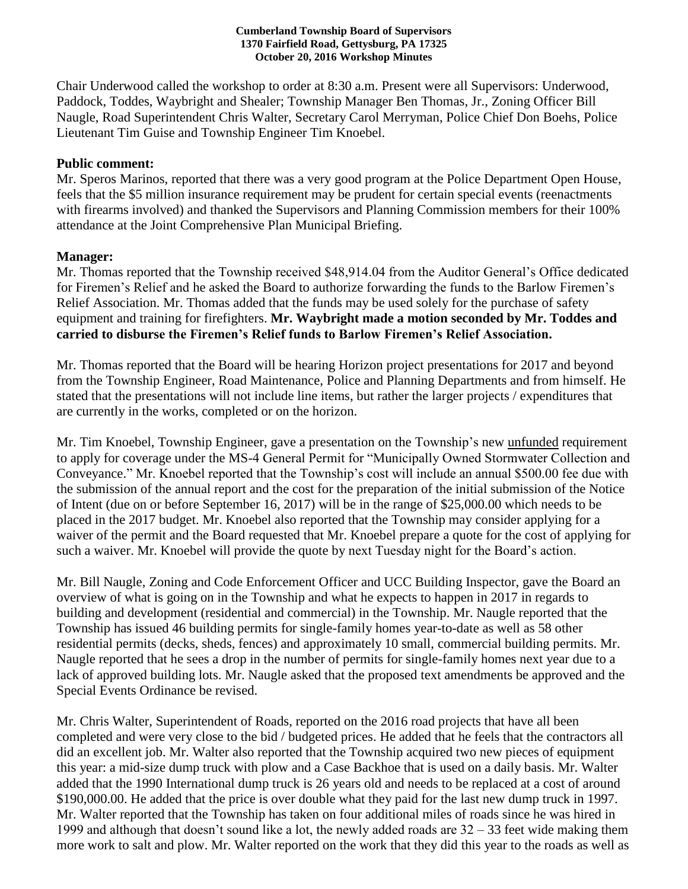## **Cumberland Township Board of Supervisors 1370 Fairfield Road, Gettysburg, PA 17325 October 20, 2016 Workshop Minutes**

Chair Underwood called the workshop to order at 8:30 a.m. Present were all Supervisors: Underwood, Paddock, Toddes, Waybright and Shealer; Township Manager Ben Thomas, Jr., Zoning Officer Bill Naugle, Road Superintendent Chris Walter, Secretary Carol Merryman, Police Chief Don Boehs, Police Lieutenant Tim Guise and Township Engineer Tim Knoebel.

## **Public comment:**

Mr. Speros Marinos, reported that there was a very good program at the Police Department Open House, feels that the \$5 million insurance requirement may be prudent for certain special events (reenactments with firearms involved) and thanked the Supervisors and Planning Commission members for their 100% attendance at the Joint Comprehensive Plan Municipal Briefing.

## **Manager:**

Mr. Thomas reported that the Township received \$48,914.04 from the Auditor General's Office dedicated for Firemen's Relief and he asked the Board to authorize forwarding the funds to the Barlow Firemen's Relief Association. Mr. Thomas added that the funds may be used solely for the purchase of safety equipment and training for firefighters. **Mr. Waybright made a motion seconded by Mr. Toddes and carried to disburse the Firemen's Relief funds to Barlow Firemen's Relief Association.**

Mr. Thomas reported that the Board will be hearing Horizon project presentations for 2017 and beyond from the Township Engineer, Road Maintenance, Police and Planning Departments and from himself. He stated that the presentations will not include line items, but rather the larger projects / expenditures that are currently in the works, completed or on the horizon.

Mr. Tim Knoebel, Township Engineer, gave a presentation on the Township's new unfunded requirement to apply for coverage under the MS-4 General Permit for "Municipally Owned Stormwater Collection and Conveyance." Mr. Knoebel reported that the Township's cost will include an annual \$500.00 fee due with the submission of the annual report and the cost for the preparation of the initial submission of the Notice of Intent (due on or before September 16, 2017) will be in the range of \$25,000.00 which needs to be placed in the 2017 budget. Mr. Knoebel also reported that the Township may consider applying for a waiver of the permit and the Board requested that Mr. Knoebel prepare a quote for the cost of applying for such a waiver. Mr. Knoebel will provide the quote by next Tuesday night for the Board's action.

Mr. Bill Naugle, Zoning and Code Enforcement Officer and UCC Building Inspector, gave the Board an overview of what is going on in the Township and what he expects to happen in 2017 in regards to building and development (residential and commercial) in the Township. Mr. Naugle reported that the Township has issued 46 building permits for single-family homes year-to-date as well as 58 other residential permits (decks, sheds, fences) and approximately 10 small, commercial building permits. Mr. Naugle reported that he sees a drop in the number of permits for single-family homes next year due to a lack of approved building lots. Mr. Naugle asked that the proposed text amendments be approved and the Special Events Ordinance be revised.

Mr. Chris Walter, Superintendent of Roads, reported on the 2016 road projects that have all been completed and were very close to the bid / budgeted prices. He added that he feels that the contractors all did an excellent job. Mr. Walter also reported that the Township acquired two new pieces of equipment this year: a mid-size dump truck with plow and a Case Backhoe that is used on a daily basis. Mr. Walter added that the 1990 International dump truck is 26 years old and needs to be replaced at a cost of around \$190,000.00. He added that the price is over double what they paid for the last new dump truck in 1997. Mr. Walter reported that the Township has taken on four additional miles of roads since he was hired in 1999 and although that doesn't sound like a lot, the newly added roads are 32 – 33 feet wide making them more work to salt and plow. Mr. Walter reported on the work that they did this year to the roads as well as